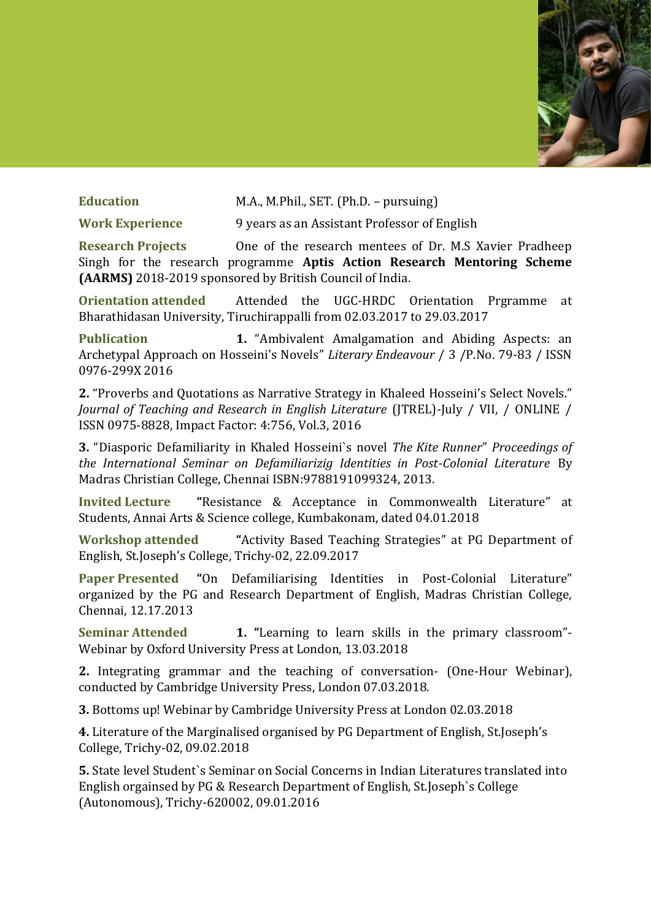

**Education** M.A., M.Phil., SET. (Ph.D. – pursuing)

**Work Experience** 9 years as an Assistant Professor of English

**Research Projects** One of the research mentees of Dr. M.S Xavier Pradheep Singh for the research programme **Aptis Action Research Mentoring Scheme (AARMS)** 2018-2019 sponsored by British Council of India.

**Orientation attended** Attended the UGC-HRDC Orientation Prgramme at Bharathidasan University, Tiruchirappalli from 02.03.2017 to 29.03.2017

**Publication 1.** "Ambivalent Amalgamation and Abiding Aspects: an Archetypal Approach on Hosseini's Novels" *Literary Endeavour* / 3 /P.No. 79-83 / ISSN 0976-299X 2016

**2.** "Proverbs and Quotations as Narrative Strategy in Khaleed Hosseini's Select Novels." *Journal of Teaching and Research in English Literature* (JTREL)-July / VII, / ONLINE / ISSN 0975-8828, Impact Factor: 4:756, Vol.3, 2016

**3.** "Diasporic Defamiliarity in Khaled Hosseini's novel *The Kite Runner*" *Proceedings of the International Seminar on Defamiliarizig Identities in Post-Colonial Literature* By Madras Christian College, Chennai ISBN:9788191099324, 2013.

**Invited Lecture "Resistance & Acceptance in Commonwealth Literature" at** Students, Annai Arts & Science college, Kumbakonam, dated 04.01.2018

**Workshop attended "Activity Based Teaching Strategies" at PG Department of** English, St.Joseph's College, Trichy-02, 22.09.2017

**Paper Presented** "On Defamiliarising Identities in Post-Colonial Literature" organized by the PG and Research Department of English, Madras Christian College, Chennai, 12.17.2013

**Seminar Attended 1. "Learning to learn skills in the primary classroom"-**Webinar by Oxford University Press at London, 13.03.2018

**2.** Integrating grammar and the teaching of conversation- (One-Hour Webinar), conducted by Cambridge University Press, London 07.03.2018.

**3.** Bottoms up! Webinar by Cambridge University Press at London 02.03.2018

**4.** Literature of the Marginalised organised by PG Department of English, St.Joseph's College, Trichy-02, 09.02.2018

**5.** State level Student`s Seminar on Social Concerns in Indian Literatures translated into English orgainsed by PG & Research Department of English, St.Joseph`s College (Autonomous), Trichy-620002, 09.01.2016